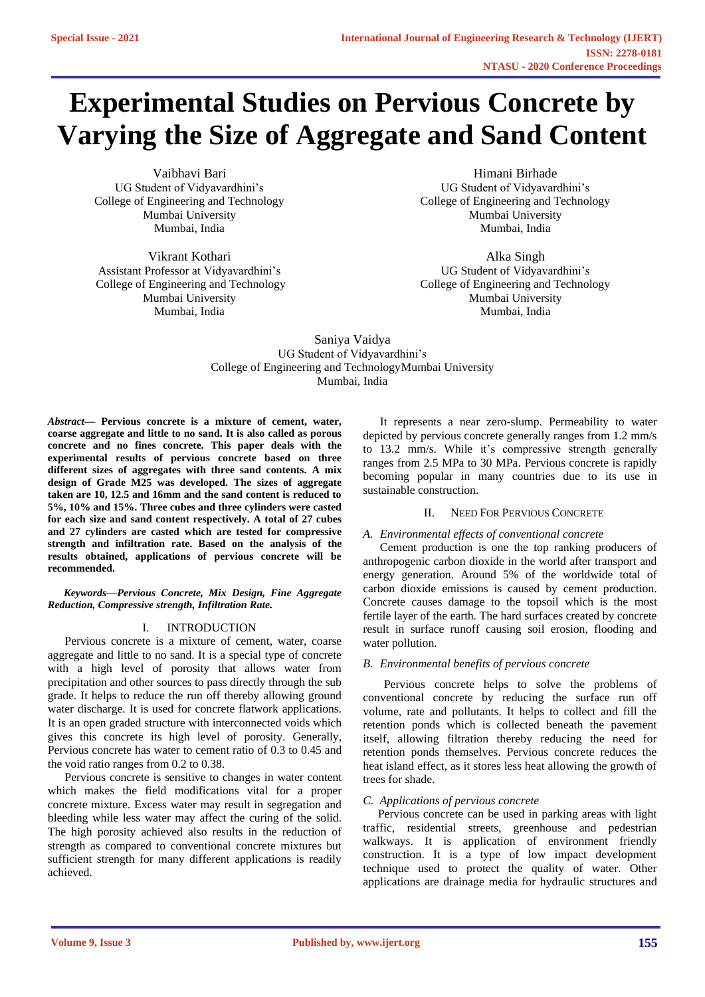# **Experimental Studies on Pervious Concrete by Varying the Size of Aggregate and Sand Content**

Vaibhavi Bari UG Student of Vidyavardhini's College of Engineering and Technology Mumbai University Mumbai, India

Vikrant Kothari Assistant Professor at Vidyavardhini's College of Engineering and Technology Mumbai University Mumbai, India

Himani Birhade UG Student of Vidyavardhini's College of Engineering and Technology Mumbai University Mumbai, India

Alka Singh UG Student of Vidyavardhini's College of Engineering and Technology Mumbai University Mumbai, India

## Saniya Vaidya UG Student of Vidyavardhini's College of Engineering and TechnologyMumbai University Mumbai, India

*Abstract***— Pervious concrete is a mixture of cement, water, coarse aggregate and little to no sand. It is also called as porous concrete and no fines concrete. This paper deals with the experimental results of pervious concrete based on three different sizes of aggregates with three sand contents. A mix design of Grade M25 was developed. The sizes of aggregate taken are 10, 12.5 and 16mm and the sand content is reduced to 5%, 10% and 15%. Three cubes and three cylinders were casted for each size and sand content respectively. A total of 27 cubes and 27 cylinders are casted which are tested for compressive strength and infiltration rate. Based on the analysis of the results obtained, applications of pervious concrete will be recommended.**

## *Keywords—Pervious Concrete, Mix Design, Fine Aggregate Reduction, Compressive strength, Infiltration Rate.*

## I. INTRODUCTION

Pervious concrete is a mixture of cement, water, coarse aggregate and little to no sand. It is a special type of concrete with a high level of porosity that allows water from precipitation and other sources to pass directly through the sub grade. It helps to reduce the run off thereby allowing ground water discharge. It is used for concrete flatwork applications. It is an open graded structure with interconnected voids which gives this concrete its high level of porosity. Generally, Pervious concrete has water to cement ratio of 0.3 to 0.45 and the void ratio ranges from 0.2 to 0.38.

Pervious concrete is sensitive to changes in water content which makes the field modifications vital for a proper concrete mixture. Excess water may result in segregation and bleeding while less water may affect the curing of the solid. The high porosity achieved also results in the reduction of strength as compared to conventional concrete mixtures but sufficient strength for many different applications is readily achieved.

It represents a near zero-slump. Permeability to water depicted by pervious concrete generally ranges from 1.2 mm/s to 13.2 mm/s. While it's compressive strength generally ranges from 2.5 MPa to 30 MPa. Pervious concrete is rapidly becoming popular in many countries due to its use in sustainable construction.

# II. NEED FOR PERVIOUS CONCRETE

## *A. Environmental effects of conventional concrete*

Cement production is one the top ranking producers of anthropogenic carbon dioxide in the world after transport and energy generation. Around 5% of the worldwide total of carbon dioxide emissions is caused by cement production. Concrete causes damage to the topsoil which is the most fertile layer of the earth. The hard surfaces created by concrete result in surface runoff causing soil erosion, flooding and water pollution.

## *B. Environmental benefits of pervious concrete*

 Pervious concrete helps to solve the problems of conventional concrete by reducing the surface run off volume, rate and pollutants. It helps to collect and fill the retention ponds which is collected beneath the pavement itself, allowing filtration thereby reducing the need for retention ponds themselves. Pervious concrete reduces the heat island effect, as it stores less heat allowing the growth of trees for shade.

## *C. Applications of pervious concrete*

 Pervious concrete can be used in parking areas with light traffic, residential streets, greenhouse and pedestrian walkways. It is application of environment friendly construction. It is a type of low impact development technique used to protect the quality of water. Other applications are drainage media for hydraulic structures and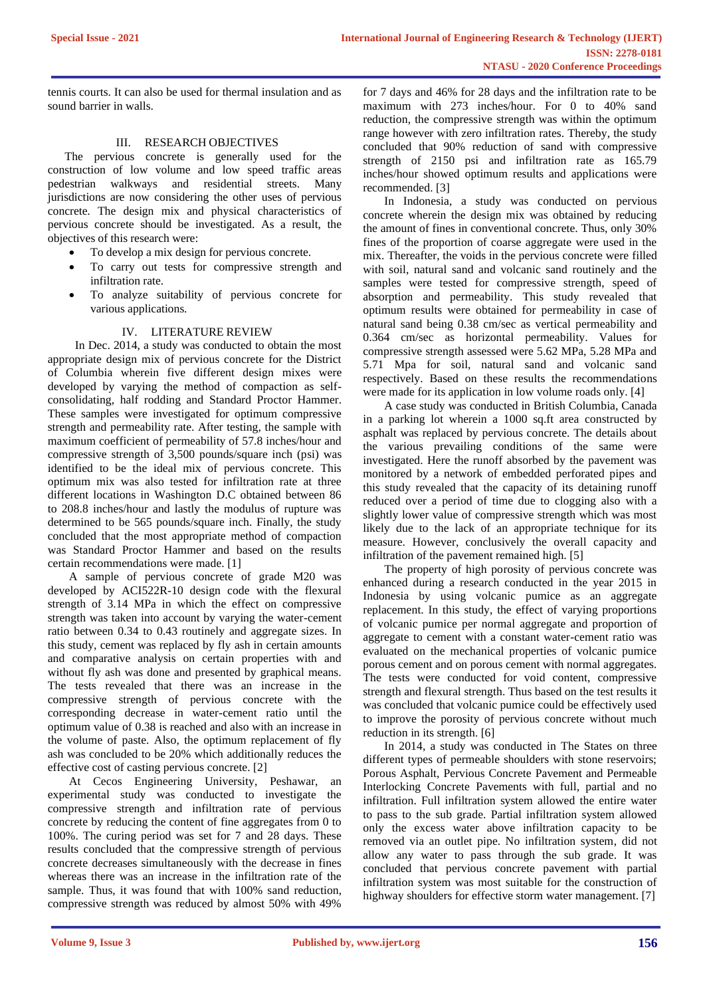tennis courts. It can also be used for thermal insulation and as sound barrier in walls.

## III. RESEARCH OBJECTIVES

The pervious concrete is generally used for the construction of low volume and low speed traffic areas pedestrian walkways and residential streets. Many jurisdictions are now considering the other uses of pervious concrete. The design mix and physical characteristics of pervious concrete should be investigated. As a result, the objectives of this research were:

- To develop a mix design for pervious concrete.
- To carry out tests for compressive strength and infiltration rate.
- To analyze suitability of pervious concrete for various applications.

## IV. LITERATURE REVIEW

 In Dec. 2014, a study was conducted to obtain the most appropriate design mix of pervious concrete for the District of Columbia wherein five different design mixes were developed by varying the method of compaction as selfconsolidating, half rodding and Standard Proctor Hammer. These samples were investigated for optimum compressive strength and permeability rate. After testing, the sample with maximum coefficient of permeability of 57.8 inches/hour and compressive strength of 3,500 pounds/square inch (psi) was identified to be the ideal mix of pervious concrete. This optimum mix was also tested for infiltration rate at three different locations in Washington D.C obtained between 86 to 208.8 inches/hour and lastly the modulus of rupture was determined to be 565 pounds/square inch. Finally, the study concluded that the most appropriate method of compaction was Standard Proctor Hammer and based on the results certain recommendations were made. [1]

A sample of pervious concrete of grade M20 was developed by ACI522R-10 design code with the flexural strength of 3.14 MPa in which the effect on compressive strength was taken into account by varying the water-cement ratio between 0.34 to 0.43 routinely and aggregate sizes. In this study, cement was replaced by fly ash in certain amounts and comparative analysis on certain properties with and without fly ash was done and presented by graphical means. The tests revealed that there was an increase in the compressive strength of pervious concrete with the corresponding decrease in water-cement ratio until the optimum value of 0.38 is reached and also with an increase in the volume of paste. Also, the optimum replacement of fly ash was concluded to be 20% which additionally reduces the effective cost of casting pervious concrete. [2]

At Cecos Engineering University, Peshawar, an experimental study was conducted to investigate the compressive strength and infiltration rate of pervious concrete by reducing the content of fine aggregates from 0 to 100%. The curing period was set for 7 and 28 days. These results concluded that the compressive strength of pervious concrete decreases simultaneously with the decrease in fines whereas there was an increase in the infiltration rate of the sample. Thus, it was found that with 100% sand reduction, compressive strength was reduced by almost 50% with 49%

for 7 days and 46% for 28 days and the infiltration rate to be maximum with 273 inches/hour. For 0 to 40% sand reduction, the compressive strength was within the optimum range however with zero infiltration rates. Thereby, the study concluded that 90% reduction of sand with compressive strength of 2150 psi and infiltration rate as 165.79 inches/hour showed optimum results and applications were recommended. [3]

In Indonesia, a study was conducted on pervious concrete wherein the design mix was obtained by reducing the amount of fines in conventional concrete. Thus, only 30% fines of the proportion of coarse aggregate were used in the mix. Thereafter, the voids in the pervious concrete were filled with soil, natural sand and volcanic sand routinely and the samples were tested for compressive strength, speed of absorption and permeability. This study revealed that optimum results were obtained for permeability in case of natural sand being 0.38 cm/sec as vertical permeability and 0.364 cm/sec as horizontal permeability. Values for compressive strength assessed were 5.62 MPa, 5.28 MPa and 5.71 Mpa for soil, natural sand and volcanic sand respectively. Based on these results the recommendations were made for its application in low volume roads only. [4]

A case study was conducted in British Columbia, Canada in a parking lot wherein a 1000 sq.ft area constructed by asphalt was replaced by pervious concrete. The details about the various prevailing conditions of the same were investigated. Here the runoff absorbed by the pavement was monitored by a network of embedded perforated pipes and this study revealed that the capacity of its detaining runoff reduced over a period of time due to clogging also with a slightly lower value of compressive strength which was most likely due to the lack of an appropriate technique for its measure. However, conclusively the overall capacity and infiltration of the pavement remained high. [5]

The property of high porosity of pervious concrete was enhanced during a research conducted in the year 2015 in Indonesia by using volcanic pumice as an aggregate replacement. In this study, the effect of varying proportions of volcanic pumice per normal aggregate and proportion of aggregate to cement with a constant water-cement ratio was evaluated on the mechanical properties of volcanic pumice porous cement and on porous cement with normal aggregates. The tests were conducted for void content, compressive strength and flexural strength. Thus based on the test results it was concluded that volcanic pumice could be effectively used to improve the porosity of pervious concrete without much reduction in its strength. [6]

In 2014, a study was conducted in The States on three different types of permeable shoulders with stone reservoirs; Porous Asphalt, Pervious Concrete Pavement and Permeable Interlocking Concrete Pavements with full, partial and no infiltration. Full infiltration system allowed the entire water to pass to the sub grade. Partial infiltration system allowed only the excess water above infiltration capacity to be removed via an outlet pipe. No infiltration system, did not allow any water to pass through the sub grade. It was concluded that pervious concrete pavement with partial infiltration system was most suitable for the construction of highway shoulders for effective storm water management. [7]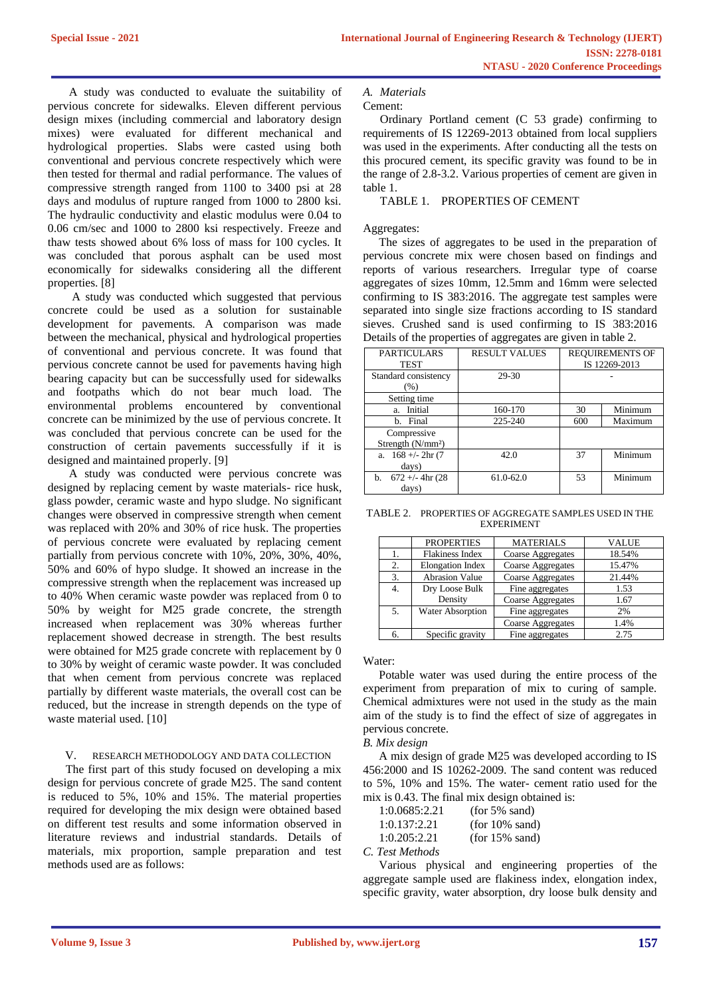A study was conducted to evaluate the suitability of pervious concrete for sidewalks. Eleven different pervious design mixes (including commercial and laboratory design mixes) were evaluated for different mechanical and hydrological properties. Slabs were casted using both conventional and pervious concrete respectively which were then tested for thermal and radial performance. The values of compressive strength ranged from 1100 to 3400 psi at 28 days and modulus of rupture ranged from 1000 to 2800 ksi. The hydraulic conductivity and elastic modulus were 0.04 to 0.06 cm/sec and 1000 to 2800 ksi respectively. Freeze and thaw tests showed about 6% loss of mass for 100 cycles. It was concluded that porous asphalt can be used most economically for sidewalks considering all the different properties. [8]

A study was conducted which suggested that pervious concrete could be used as a solution for sustainable development for pavements. A comparison was made between the mechanical, physical and hydrological properties of conventional and pervious concrete. It was found that pervious concrete cannot be used for pavements having high bearing capacity but can be successfully used for sidewalks and footpaths which do not bear much load. The environmental problems encountered by conventional concrete can be minimized by the use of pervious concrete. It was concluded that pervious concrete can be used for the construction of certain pavements successfully if it is designed and maintained properly. [9]

A study was conducted were pervious concrete was designed by replacing cement by waste materials- rice husk, glass powder, ceramic waste and hypo sludge. No significant changes were observed in compressive strength when cement was replaced with 20% and 30% of rice husk. The properties of pervious concrete were evaluated by replacing cement partially from pervious concrete with 10%, 20%, 30%, 40%, 50% and 60% of hypo sludge. It showed an increase in the compressive strength when the replacement was increased up to 40% When ceramic waste powder was replaced from 0 to 50% by weight for M25 grade concrete, the strength increased when replacement was 30% whereas further replacement showed decrease in strength. The best results were obtained for M25 grade concrete with replacement by 0 to 30% by weight of ceramic waste powder. It was concluded that when cement from pervious concrete was replaced partially by different waste materials, the overall cost can be reduced, but the increase in strength depends on the type of waste material used. [10]

## V. RESEARCH METHODOLOGY AND DATA COLLECTION

 The first part of this study focused on developing a mix design for pervious concrete of grade M25. The sand content is reduced to 5%, 10% and 15%. The material properties required for developing the mix design were obtained based on different test results and some information observed in literature reviews and industrial standards. Details of materials, mix proportion, sample preparation and test methods used are as follows:

## *A. Materials*

Cement:

Ordinary Portland cement (C 53 grade) confirming to requirements of IS 12269-2013 obtained from local suppliers was used in the experiments. After conducting all the tests on this procured cement, its specific gravity was found to be in the range of 2.8-3.2. Various properties of cement are given in table 1.

# TABLE 1. PROPERTIES OF CEMENT

## Aggregates:

The sizes of aggregates to be used in the preparation of pervious concrete mix were chosen based on findings and reports of various researchers. Irregular type of coarse aggregates of sizes 10mm, 12.5mm and 16mm were selected confirming to IS 383:2016. The aggregate test samples were separated into single size fractions according to IS standard sieves. Crushed sand is used confirming to IS 383:2016 Details of the properties of aggregates are given in table 2.

| <b>PARTICULARS</b><br><b>TEST</b>            | <b>RESULT VALUES</b> | <b>REQUIREMENTS OF</b><br>IS 12269-2013 |         |
|----------------------------------------------|----------------------|-----------------------------------------|---------|
| Standard consistency<br>$(\%)$               | 29-30                |                                         |         |
| Setting time                                 |                      |                                         |         |
| Initial<br>a.                                | 160-170              | 30                                      | Minimum |
| Final<br>b.                                  | 225-240              | 600                                     | Maximum |
| Compressive<br>Strength (N/mm <sup>2</sup> ) |                      |                                         |         |
| a. $168 +/- 2hr(7)$<br>days)                 | 42.0                 | 37                                      | Minimum |
| b. $672 +/- 4hr (28)$<br>days)               | 61.0-62.0            | 53                                      | Minimum |

TABLE 2. PROPERTIES OF AGGREGATE SAMPLES USED IN THE EXPERIMENT

|    | <b>PROPERTIES</b>       | <b>MATERIALS</b>         | VALUE  |
|----|-------------------------|--------------------------|--------|
| 1. | <b>Flakiness Index</b>  | <b>Coarse Aggregates</b> | 18.54% |
| 2. | <b>Elongation Index</b> | Coarse Aggregates        | 15.47% |
| 3. | <b>Abrasion Value</b>   | <b>Coarse Aggregates</b> | 21.44% |
| 4. | Dry Loose Bulk          | Fine aggregates          | 1.53   |
|    | Density                 | Coarse Aggregates        | 1.67   |
| 5. | Water Absorption        | Fine aggregates          | 2%     |
|    |                         | Coarse Aggregates        | 1.4%   |
| 6. | Specific gravity        | Fine aggregates          | 2.75   |

Water:

Potable water was used during the entire process of the experiment from preparation of mix to curing of sample. Chemical admixtures were not used in the study as the main aim of the study is to find the effect of size of aggregates in pervious concrete.

*B. Mix design*

A mix design of grade M25 was developed according to IS 456:2000 and IS 10262-2009. The sand content was reduced to 5%, 10% and 15%. The water- cement ratio used for the mix is 0.43. The final mix design obtained is:

| 1:0.0685:2.21  | $(for 5\% sand)$  |
|----------------|-------------------|
| 1:0.137:2.21   | $(for 10\% sand)$ |
| 1:0.205:2.21   | $(for 15\% sand)$ |
| — 1 <i>1</i> 1 |                   |

*C. Test Methods*

Various physical and engineering properties of the aggregate sample used are flakiness index, elongation index, specific gravity, water absorption, dry loose bulk density and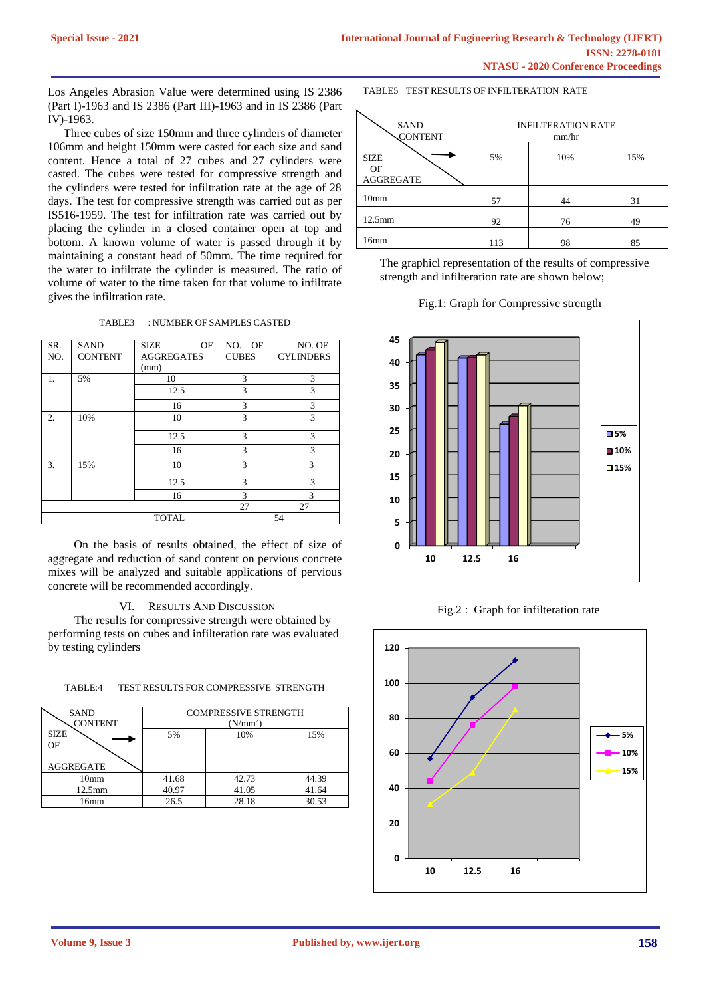Los Angeles Abrasion Value were determined using IS 2386 (Part I)-1963 and IS 2386 (Part III)-1963 and in IS 2386 (Part IV)-1963.

Three cubes of size 150mm and three cylinders of diameter 106mm and height 150mm were casted for each size and sand content. Hence a total of 27 cubes and 27 cylinders were casted. The cubes were tested for compressive strength and the cylinders were tested for infiltration rate at the age of 28 days. The test for compressive strength was carried out as per IS516-1959. The test for infiltration rate was carried out by placing the cylinder in a closed container open at top and bottom. A known volume of water is passed through it by maintaining a constant head of 50mm. The time required for the water to infiltrate the cylinder is measured. The ratio of volume of water to the time taken for that volume to infiltrate gives the infiltration rate.

TABLE3 : NUMBER OF SAMPLES CASTED

| SR. | <b>SAND</b>    | OF<br><b>SIZE</b> | NO. OF       | NO. OF           |
|-----|----------------|-------------------|--------------|------------------|
| NO. | <b>CONTENT</b> | <b>AGGREGATES</b> | <b>CUBES</b> | <b>CYLINDERS</b> |
|     |                | (mm)              |              |                  |
| 1.  | 5%<br>10       |                   | 3            | 3                |
|     |                | 12.5              | 3            | 3                |
|     |                | 16                | 3            | 3                |
| 2.  | 10%            | 10                | 3            | 3                |
|     |                | 12.5              | 3            | 3                |
|     |                | 16                | 3            | 3                |
| 3.  | 15%            | 10                | 3            | 3                |
|     |                | 12.5              | 3            | 3                |
|     |                | 16                | 3            | 3                |
|     |                |                   | 27           | 27               |
|     | <b>TOTAL</b>   |                   |              | 54               |

 On the basis of results obtained, the effect of size of aggregate and reduction of sand content on pervious concrete mixes will be analyzed and suitable applications of pervious concrete will be recommended accordingly.

## VI. RESULTS AND DISCUSSION

 The results for compressive strength were obtained by performing tests on cubes and infilteration rate was evaluated by testing cylinders

#### TABLE:4 TEST RESULTS FOR COMPRESSIVE STRENGTH

| <b>SAND</b><br><b>CONTENT</b>         | <b>COMPRESSIVE STRENGTH</b><br>$(N/mm^2)$ |       |       |
|---------------------------------------|-------------------------------------------|-------|-------|
| <b>SIZE</b><br>OF<br><b>AGGREGATE</b> | 5%                                        | 10%   | 15%   |
| 10 <sub>mm</sub>                      | 41.68                                     | 42.73 | 44.39 |
| $12.5$ mm                             | 40.97                                     | 41.05 | 41.64 |
| 16mm                                  | 26.5                                      | 28.18 | 30.53 |

TABLE5 TEST RESULTS OF INFILTERATION RATE

| <b>SAND</b><br><b>CONTENT</b>         | <b>INFILTERATION RATE</b><br>mm/hr |     |     |
|---------------------------------------|------------------------------------|-----|-----|
| <b>SIZE</b><br>OF<br><b>AGGREGATE</b> | 5%                                 | 10% | 15% |
| 10 <sub>mm</sub>                      | 57                                 | 44  | 31  |
| $12.5$ mm                             | 92                                 | 76  | 49  |
| 16mm                                  | 113                                | 98  | 85  |

The graphicl representation of the results of compressive strength and infilteration rate are shown below;





## Fig.2 : Graph for infilteration rate